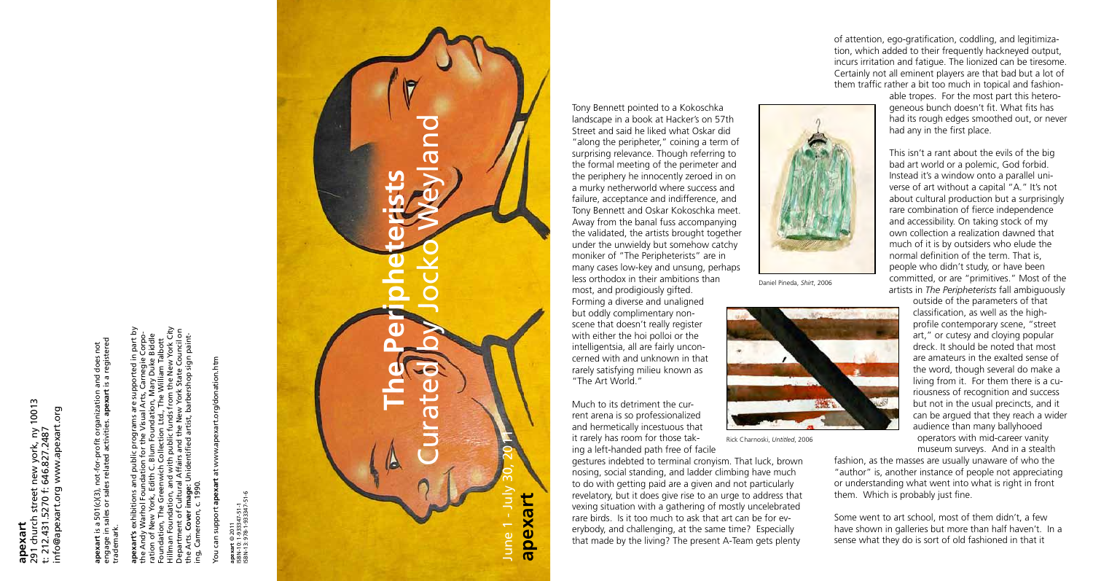**apexart** 291 church street new york, ny 10013 info@apexart.org www.apexart.org t: 212.431.5270 f: 646.827.2487 t: 212.43

engage in sales or sales related activities. **apexart** is a registered **apexart** is a 501(c)(3), not-for-profit organization and does not a 501(c)(3), not-for-profit organization and does not<br>sales or sales related activities. apexart is a registere exart is a<br>gage in : trademark.

Hillman Foundation, and with public funds from the New York City **apexart's** exhibitions and public programs are supported in part by Department of Cultural Affairs and the New York State Council on ration of New York, Edith C. Blum Foundation, Mary Duke Biddle the Andy Warhol Foundation for the Visual Arts, Carnegie Corpothe Arts. **Cover image:** Unidentified artist, barbershop sign paint-Foundation, The Greenwich Collection Ltd., The William Talbott ing, Cameroon, c. 1990. Arts. Cover i<br>Cameroon, g

rt.org/donation.htm You can support **apexart** at www.apexart.org/donation.htm www.apexa  $\overline{a}$  $\vec{a}$ You can support apex

**apexart** © 2011<br>SBN-10: 1-933347-51-1<br>SBN-13: 978-1-933347-51-6 ISBN-13: 978-1-933347-51-6 ISBN-10: 1-933347-51-1

**apexart** © 2011

Tony Bennett pointed to a Kokoschka landscape in a book at Hacker's on 57th Street and said he liked what Oskar did "along the peripheter," coining a term of surprising relevance. Though referring to the formal meeting of the perimeter and the periphery he innocently zeroed in on a murky netherworld where success and failure, acceptance and indifference, and Tony Bennett and Oskar Kokoschka meet. Away from the banal fuss accompanying the validated, the artists brought together under the unwieldy but somehow catchy moniker of "The Peripheterists" are in many cases low-key and unsung, perhaps less orthodox in their ambitions than most, and prodigiously gifted. Forming a diverse and unaligned but oddly complimentary nonscene that doesn't really register with either the hoi polloi or the intelligentsia, all are fairly unconcerned with and unknown in that rarely satisfying milieu known as "The Art World."

Much to its detriment the current arena is so professionalized and hermetically incestuous that it rarely has room for those taking a left-handed path free of facile

gestures indebted to terminal cronyism. That luck, brown nosing, social standing, and ladder climbing have much to do with getting paid are a given and not particularly revelatory, but it does give rise to an urge to address that vexing situation with a gathering of mostly uncelebrated rare birds. Is it too much to ask that art can be for everybody, and challenging, at the same time? Especially that made by the living? The present A-Team gets plenty

of attention, ego-gratification, coddling, and legitimization, which added to their frequently hackneyed output, incurs irritation and fatigue. The lionized can be tiresome. Certainly not all eminent players are that bad but a lot of them traffic rather a bit too much in topical and fashion-





able tropes. For the most part this heterogeneous bunch doesn't fit. What fits has had its rough edges smoothed out, or never had any in the first place.

This isn't a rant about the evils of the big bad art world or a polemic, God forbid. Instead it's a window onto a parallel universe of art without a capital "A." It's not about cultural production but a surprisingly rare combination of fierce independence and accessibility. On taking stock of my own collection a realization dawned that much of it is by outsiders who elude the normal definition of the term. That is, people who didn't study, or have been committed, or are "primitives." Most of the artists in *The Peripheterists* fall ambiguously

outside of the parameters of that classification, as well as the highprofile contemporary scene, "street art," or cutesy and cloying popular dreck. It should be noted that most are amateurs in the exalted sense of the word, though several do make a living from it. For them there is a curiousness of recognition and success but not in the usual precincts, and it can be argued that they reach a wider audience than many ballyhooed operators with mid-career vanity museum surveys. And in a stealth

fashion, as the masses are usually unaware of who the "author" is, another instance of people not appreciating or understanding what went into what is right in front them. Which is probably just fine.

Some went to art school, most of them didn't, a few have shown in galleries but more than half haven't. In a sense what they do is sort of old fashioned in that it

Daniel Pineda, *Shirt*, 2006



Rick Charnoski, *Untitled*, 2006